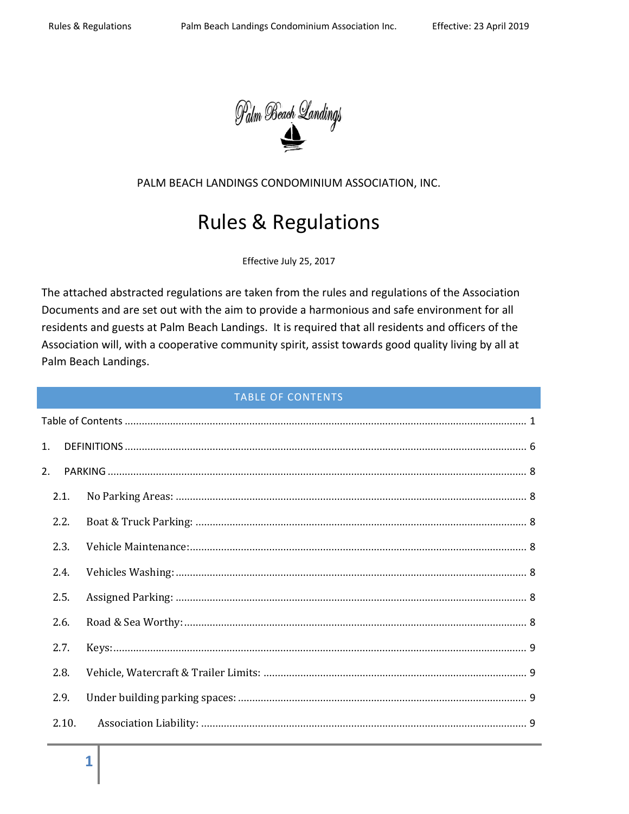

PALM BEACH LANDINGS CONDOMINIUM ASSOCIATION, INC.

# Rules & Regulations

Effective July 25, 2017

The attached abstracted regulations are taken from the rules and regulations of the Association Documents and are set out with the aim to provide a harmonious and safe environment for all residents and guests at Palm Beach Landings. It is required that all residents and officers of the Association will, with a cooperative community spirit, assist towards good quality living by all at Palm Beach Landings.

#### TABLE OF CONTENTS

<span id="page-0-0"></span>

| 1.    |  |  |
|-------|--|--|
| 2.    |  |  |
| 2.1.  |  |  |
| 2.2.  |  |  |
| 2.3.  |  |  |
| 2.4.  |  |  |
| 2.5.  |  |  |
| 2.6.  |  |  |
| 2.7.  |  |  |
| 2.8.  |  |  |
| 2.9.  |  |  |
| 2.10. |  |  |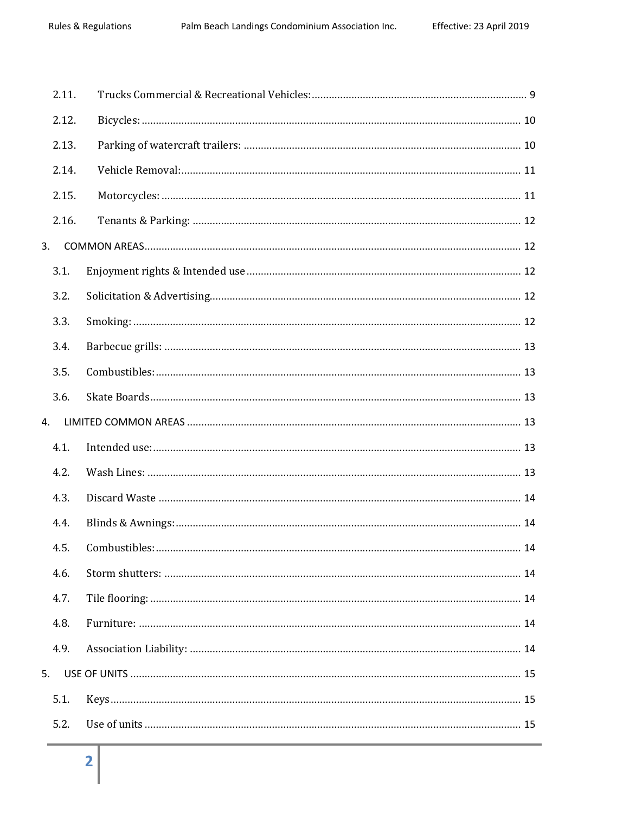|    | 2.11. |                     |
|----|-------|---------------------|
|    | 2.12. |                     |
|    | 2.13. |                     |
|    | 2.14. |                     |
|    | 2.15. |                     |
|    | 2.16. |                     |
| 3. |       |                     |
|    | 3.1.  |                     |
|    | 3.2.  |                     |
|    | 3.3.  |                     |
|    | 3.4.  |                     |
|    | 3.5.  |                     |
|    | 3.6.  |                     |
| 4. |       |                     |
|    | 4.1.  |                     |
|    | 4.2.  |                     |
|    | 4.3.  |                     |
|    | 4.4.  |                     |
|    | 4.5   | Combustibles:<br>14 |
|    | 4.6.  |                     |
|    | 4.7.  |                     |
|    | 4.8.  |                     |
|    | 4.9.  |                     |
| 5. |       |                     |
|    | 5.1.  |                     |
|    | 5.2.  |                     |
|    |       |                     |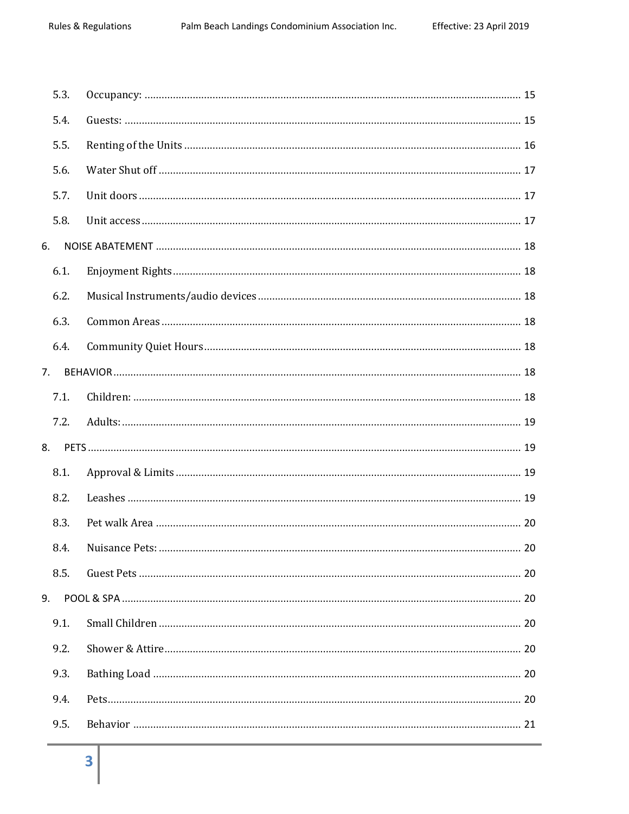|    | 5.3. |                 |    |
|----|------|-----------------|----|
|    | 5.4. |                 |    |
|    | 5.5. |                 |    |
|    | 5.6. |                 |    |
|    | 5.7. |                 |    |
|    | 5.8. |                 |    |
| 6. |      |                 |    |
|    | 6.1. |                 |    |
|    | 6.2. |                 |    |
|    | 6.3. |                 |    |
|    | 6.4. |                 |    |
| 7. |      |                 |    |
|    | 7.1. |                 |    |
|    | 7.2. |                 |    |
|    | 8.   |                 |    |
|    | 8.1. |                 |    |
|    | 8.2. |                 |    |
|    | 8.3. |                 |    |
|    | 8.4. | Nuisance Pets:. | 20 |
|    | 8.5. |                 |    |
| 9. |      |                 |    |
|    | 9.1. |                 |    |
|    | 9.2. |                 |    |
|    | 9.3. |                 |    |
|    | 9.4. |                 |    |
|    | 9.5. |                 |    |
|    |      |                 |    |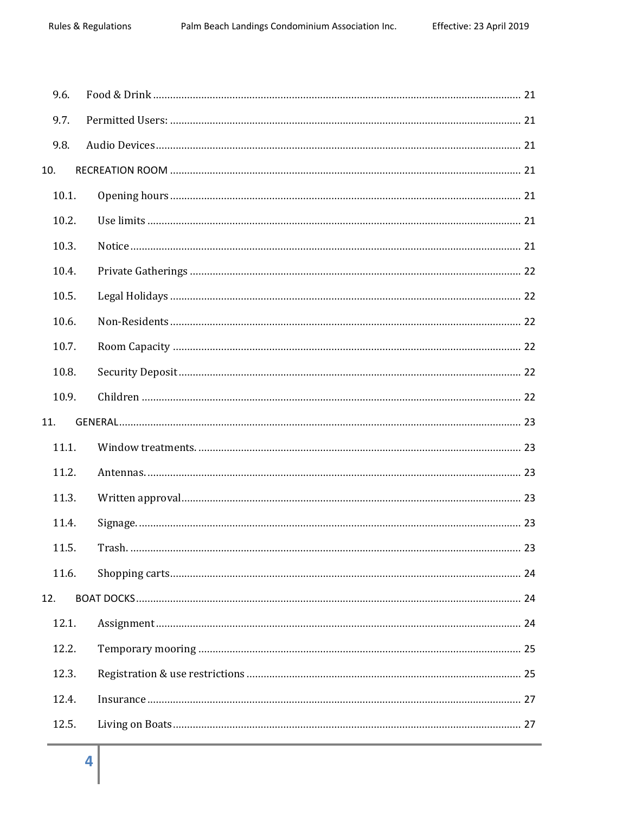| 9.6.  |        |    |
|-------|--------|----|
| 9.7.  |        |    |
| 9.8.  |        |    |
| 10.   |        |    |
| 10.1. |        |    |
| 10.2. |        |    |
| 10.3. |        |    |
| 10.4. |        |    |
| 10.5. |        |    |
| 10.6. |        |    |
| 10.7. |        |    |
| 10.8. |        |    |
| 10.9. |        |    |
| 11.   |        |    |
| 11.1. |        |    |
| 11.2. |        |    |
| 11.3. |        |    |
| 11.4. |        |    |
| 11.5. | Trash. | 23 |
| 11.6. |        |    |
| 12.   |        |    |
| 12.1. |        |    |
| 12.2. |        |    |
| 12.3. |        |    |
| 12.4. |        |    |
| 12.5. |        |    |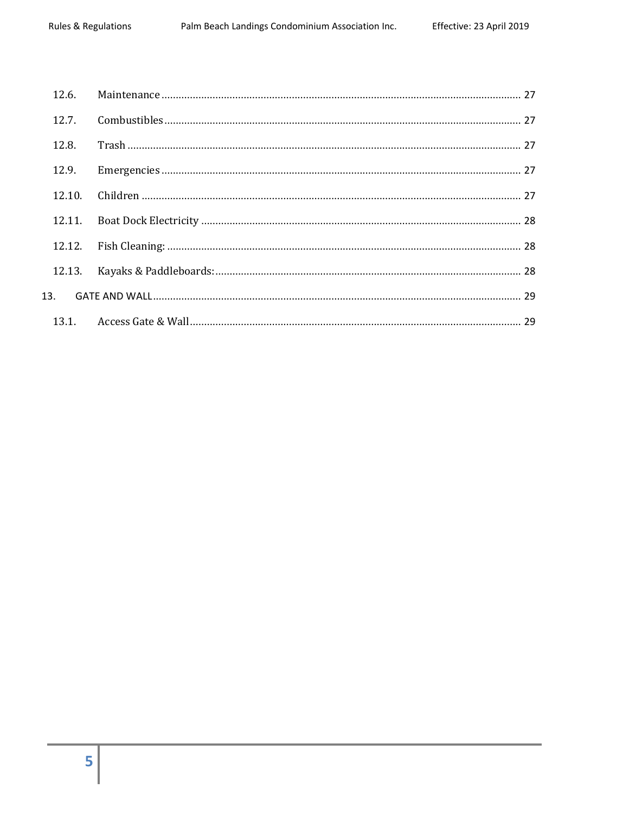| 12.6.  |  |
|--------|--|
| 12.7.  |  |
| 12.8.  |  |
| 12.9.  |  |
| 12.10. |  |
| 12.11. |  |
| 12.12. |  |
| 12.13. |  |
| 13.    |  |
|        |  |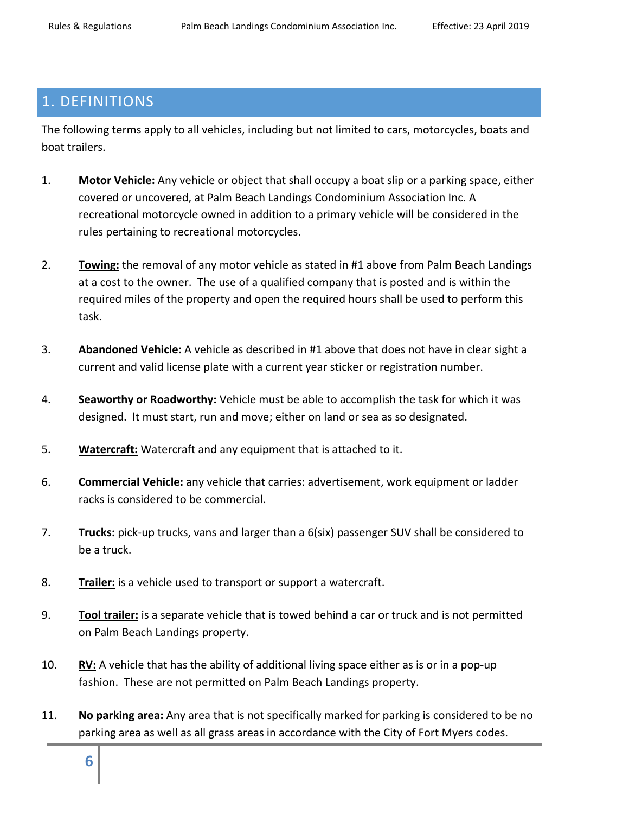# <span id="page-5-0"></span>1. DEFINITIONS

The following terms apply to all vehicles, including but not limited to cars, motorcycles, boats and boat trailers.

- 1. **Motor Vehicle:** Any vehicle or object that shall occupy a boat slip or a parking space, either covered or uncovered, at Palm Beach Landings Condominium Association Inc. A recreational motorcycle owned in addition to a primary vehicle will be considered in the rules pertaining to recreational motorcycles.
- 2. **Towing:** the removal of any motor vehicle as stated in #1 above from Palm Beach Landings at a cost to the owner. The use of a qualified company that is posted and is within the required miles of the property and open the required hours shall be used to perform this task.
- 3. **Abandoned Vehicle:** A vehicle as described in #1 above that does not have in clear sight a current and valid license plate with a current year sticker or registration number.
- 4. **Seaworthy or Roadworthy:** Vehicle must be able to accomplish the task for which it was designed. It must start, run and move; either on land or sea as so designated.
- 5. **Watercraft:** Watercraft and any equipment that is attached to it.
- 6. **Commercial Vehicle:** any vehicle that carries: advertisement, work equipment or ladder racks is considered to be commercial.
- 7. **Trucks:** pick-up trucks, vans and larger than a 6(six) passenger SUV shall be considered to be a truck.
- 8. **Trailer:** is a vehicle used to transport or support a watercraft.
- 9. **Tool trailer:** is a separate vehicle that is towed behind a car or truck and is not permitted on Palm Beach Landings property.
- 10. **RV:** A vehicle that has the ability of additional living space either as is or in a pop-up fashion. These are not permitted on Palm Beach Landings property.
- 11. **No parking area:** Any area that is not specifically marked for parking is considered to be no parking area as well as all grass areas in accordance with the City of Fort Myers codes.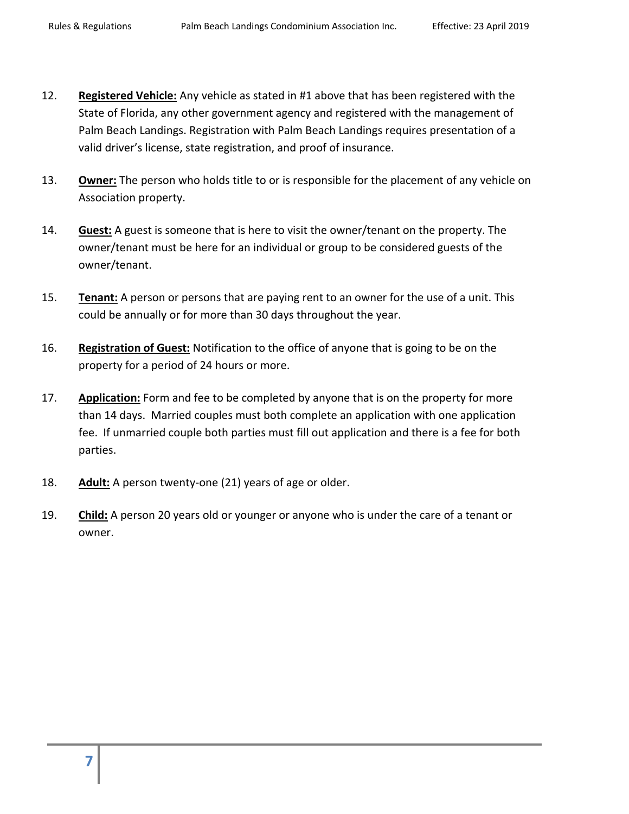- 12. **Registered Vehicle:** Any vehicle as stated in #1 above that has been registered with the State of Florida, any other government agency and registered with the management of Palm Beach Landings. Registration with Palm Beach Landings requires presentation of a valid driver's license, state registration, and proof of insurance.
- 13. **Owner:** The person who holds title to or is responsible for the placement of any vehicle on Association property.
- 14. **Guest:** A guest is someone that is here to visit the owner/tenant on the property. The owner/tenant must be here for an individual or group to be considered guests of the owner/tenant.
- 15. **Tenant:** A person or persons that are paying rent to an owner for the use of a unit. This could be annually or for more than 30 days throughout the year.
- 16. **Registration of Guest:** Notification to the office of anyone that is going to be on the property for a period of 24 hours or more.
- 17. **Application:** Form and fee to be completed by anyone that is on the property for more than 14 days. Married couples must both complete an application with one application fee. If unmarried couple both parties must fill out application and there is a fee for both parties.
- 18. **Adult:** A person twenty-one (21) years of age or older.
- 19. **Child:** A person 20 years old or younger or anyone who is under the care of a tenant or owner.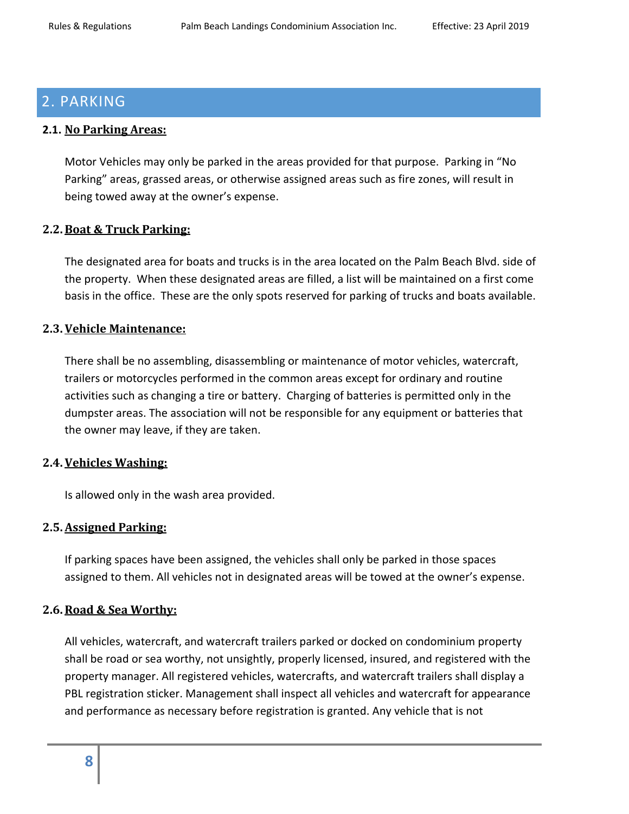# <span id="page-7-0"></span>2. PARKING

### <span id="page-7-1"></span>**2.1. No Parking Areas:**

Motor Vehicles may only be parked in the areas provided for that purpose. Parking in "No Parking" areas, grassed areas, or otherwise assigned areas such as fire zones, will result in being towed away at the owner's expense.

#### <span id="page-7-2"></span>**2.2.Boat & Truck Parking:**

The designated area for boats and trucks is in the area located on the Palm Beach Blvd. side of the property. When these designated areas are filled, a list will be maintained on a first come basis in the office. These are the only spots reserved for parking of trucks and boats available.

# <span id="page-7-3"></span>**2.3.Vehicle Maintenance:**

There shall be no assembling, disassembling or maintenance of motor vehicles, watercraft, trailers or motorcycles performed in the common areas except for ordinary and routine activities such as changing a tire or battery. Charging of batteries is permitted only in the dumpster areas. The association will not be responsible for any equipment or batteries that the owner may leave, if they are taken.

#### <span id="page-7-4"></span>**2.4.Vehicles Washing:**

Is allowed only in the wash area provided.

# <span id="page-7-5"></span>**2.5.Assigned Parking:**

If parking spaces have been assigned, the vehicles shall only be parked in those spaces assigned to them. All vehicles not in designated areas will be towed at the owner's expense.

# <span id="page-7-6"></span>**2.6.Road & Sea Worthy:**

All vehicles, watercraft, and watercraft trailers parked or docked on condominium property shall be road or sea worthy, not unsightly, properly licensed, insured, and registered with the property manager. All registered vehicles, watercrafts, and watercraft trailers shall display a PBL registration sticker. Management shall inspect all vehicles and watercraft for appearance and performance as necessary before registration is granted. Any vehicle that is not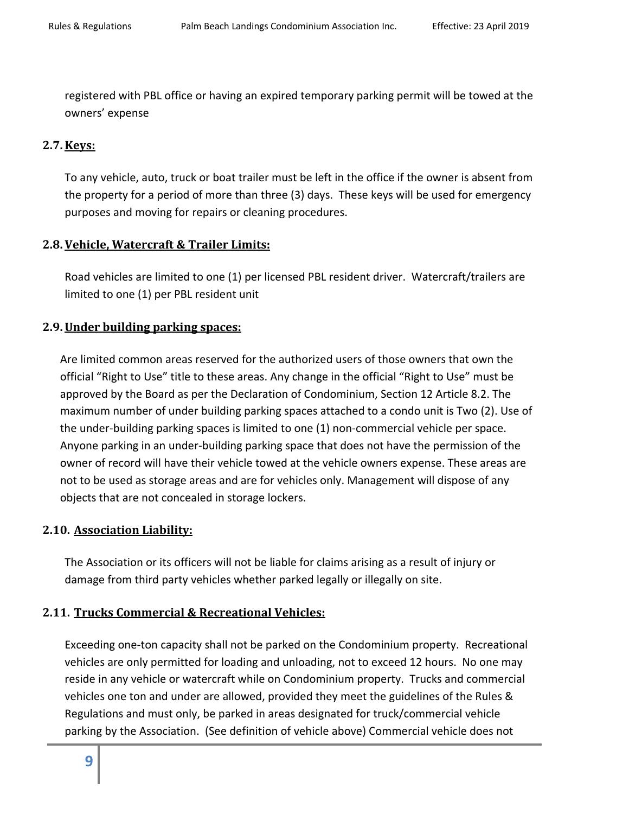registered with PBL office or having an expired temporary parking permit will be towed at the owners' expense

# <span id="page-8-0"></span>**2.7.Keys:**

To any vehicle, auto, truck or boat trailer must be left in the office if the owner is absent from the property for a period of more than three (3) days. These keys will be used for emergency purposes and moving for repairs or cleaning procedures.

# <span id="page-8-1"></span>**2.8.Vehicle, Watercraft & Trailer Limits:**

Road vehicles are limited to one (1) per licensed PBL resident driver. Watercraft/trailers are limited to one (1) per PBL resident unit

# <span id="page-8-2"></span>**2.9.Under building parking spaces:**

Are limited common areas reserved for the authorized users of those owners that own the official "Right to Use" title to these areas. Any change in the official "Right to Use" must be approved by the Board as per the Declaration of Condominium, Section 12 Article 8.2. The maximum number of under building parking spaces attached to a condo unit is Two (2). Use of the under-building parking spaces is limited to one (1) non-commercial vehicle per space. Anyone parking in an under-building parking space that does not have the permission of the owner of record will have their vehicle towed at the vehicle owners expense. These areas are not to be used as storage areas and are for vehicles only. Management will dispose of any objects that are not concealed in storage lockers.

# <span id="page-8-3"></span>**2.10. Association Liability:**

The Association or its officers will not be liable for claims arising as a result of injury or damage from third party vehicles whether parked legally or illegally on site.

# <span id="page-8-4"></span>**2.11. Trucks Commercial & Recreational Vehicles:**

Exceeding one-ton capacity shall not be parked on the Condominium property. Recreational vehicles are only permitted for loading and unloading, not to exceed 12 hours. No one may reside in any vehicle or watercraft while on Condominium property. Trucks and commercial vehicles one ton and under are allowed, provided they meet the guidelines of the Rules & Regulations and must only, be parked in areas designated for truck/commercial vehicle parking by the Association. (See definition of vehicle above) Commercial vehicle does not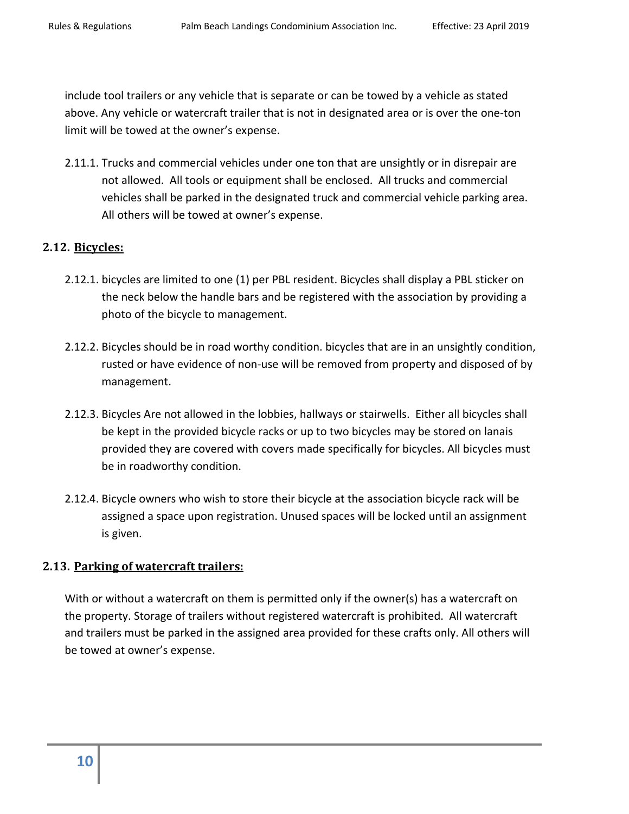include tool trailers or any vehicle that is separate or can be towed by a vehicle as stated above. Any vehicle or watercraft trailer that is not in designated area or is over the one-ton limit will be towed at the owner's expense.

2.11.1. Trucks and commercial vehicles under one ton that are unsightly or in disrepair are not allowed. All tools or equipment shall be enclosed. All trucks and commercial vehicles shall be parked in the designated truck and commercial vehicle parking area. All others will be towed at owner's expense.

# <span id="page-9-0"></span>**2.12. Bicycles:**

- 2.12.1. bicycles are limited to one (1) per PBL resident. Bicycles shall display a PBL sticker on the neck below the handle bars and be registered with the association by providing a photo of the bicycle to management.
- 2.12.2. Bicycles should be in road worthy condition. bicycles that are in an unsightly condition, rusted or have evidence of non-use will be removed from property and disposed of by management.
- 2.12.3. Bicycles Are not allowed in the lobbies, hallways or stairwells. Either all bicycles shall be kept in the provided bicycle racks or up to two bicycles may be stored on lanais provided they are covered with covers made specifically for bicycles. All bicycles must be in roadworthy condition.
- 2.12.4. Bicycle owners who wish to store their bicycle at the association bicycle rack will be assigned a space upon registration. Unused spaces will be locked until an assignment is given.

#### <span id="page-9-1"></span>**2.13. Parking of watercraft trailers:**

<span id="page-9-2"></span>With or without a watercraft on them is permitted only if the owner(s) has a watercraft on the property. Storage of trailers without registered watercraft is prohibited. All watercraft and trailers must be parked in the assigned area provided for these crafts only. All others will be towed at owner's expense.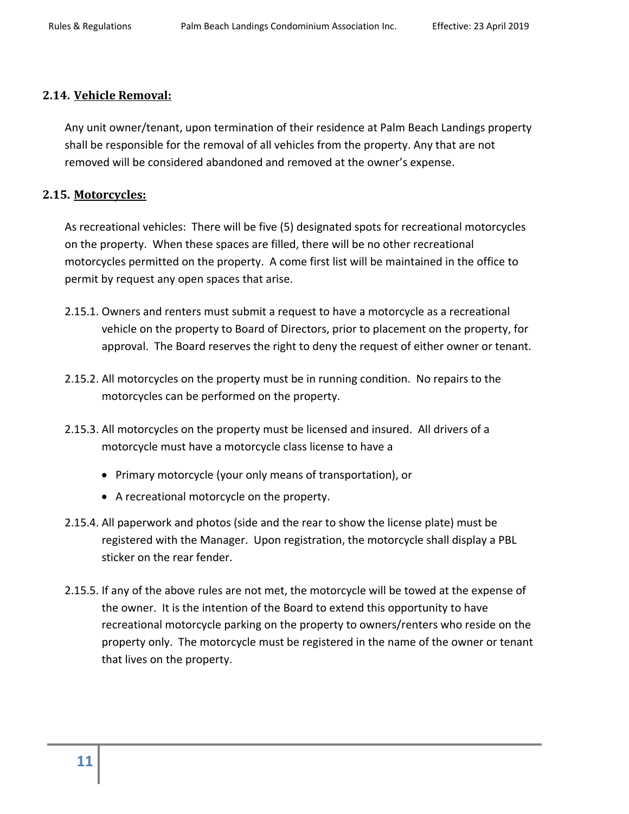# **2.14. Vehicle Removal:**

Any unit owner/tenant, upon termination of their residence at Palm Beach Landings property shall be responsible for the removal of all vehicles from the property. Any that are not removed will be considered abandoned and removed at the owner's expense.

# <span id="page-10-0"></span>**2.15. Motorcycles:**

As recreational vehicles: There will be five (5) designated spots for recreational motorcycles on the property. When these spaces are filled, there will be no other recreational motorcycles permitted on the property. A come first list will be maintained in the office to permit by request any open spaces that arise.

- 2.15.1. Owners and renters must submit a request to have a motorcycle as a recreational vehicle on the property to Board of Directors, prior to placement on the property, for approval. The Board reserves the right to deny the request of either owner or tenant.
- 2.15.2. All motorcycles on the property must be in running condition. No repairs to the motorcycles can be performed on the property.
- 2.15.3. All motorcycles on the property must be licensed and insured. All drivers of a motorcycle must have a motorcycle class license to have a
	- Primary motorcycle (your only means of transportation), or
	- A recreational motorcycle on the property.
- 2.15.4. All paperwork and photos (side and the rear to show the license plate) must be registered with the Manager. Upon registration, the motorcycle shall display a PBL sticker on the rear fender.
- <span id="page-10-1"></span>2.15.5. If any of the above rules are not met, the motorcycle will be towed at the expense of the owner. It is the intention of the Board to extend this opportunity to have recreational motorcycle parking on the property to owners/renters who reside on the property only. The motorcycle must be registered in the name of the owner or tenant that lives on the property.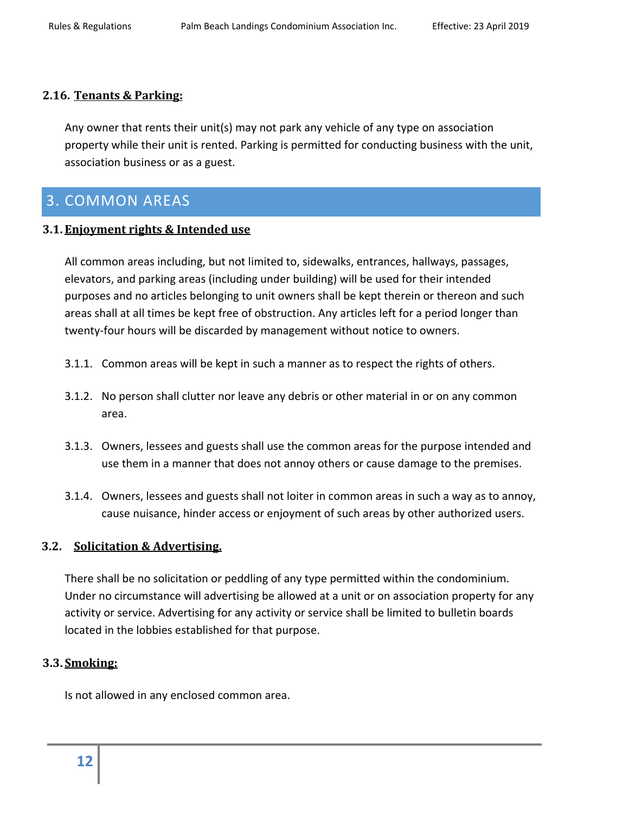### **2.16. Tenants & Parking:**

Any owner that rents their unit(s) may not park any vehicle of any type on association property while their unit is rented. Parking is permitted for conducting business with the unit, association business or as a guest.

# <span id="page-11-0"></span>3. COMMON AREAS

# <span id="page-11-1"></span>**3.1. Enjoyment rights & Intended use**

All common areas including, but not limited to, sidewalks, entrances, hallways, passages, elevators, and parking areas (including under building) will be used for their intended purposes and no articles belonging to unit owners shall be kept therein or thereon and such areas shall at all times be kept free of obstruction. Any articles left for a period longer than twenty-four hours will be discarded by management without notice to owners.

- 3.1.1. Common areas will be kept in such a manner as to respect the rights of others.
- 3.1.2. No person shall clutter nor leave any debris or other material in or on any common area.
- 3.1.3. Owners, lessees and guests shall use the common areas for the purpose intended and use them in a manner that does not annoy others or cause damage to the premises.
- 3.1.4. Owners, lessees and guests shall not loiter in common areas in such a way as to annoy, cause nuisance, hinder access or enjoyment of such areas by other authorized users.

# <span id="page-11-2"></span>**3.2. Solicitation & Advertising.**

There shall be no solicitation or peddling of any type permitted within the condominium. Under no circumstance will advertising be allowed at a unit or on association property for any activity or service. Advertising for any activity or service shall be limited to bulletin boards located in the lobbies established for that purpose.

# <span id="page-11-3"></span>**3.3. Smoking:**

<span id="page-11-4"></span>Is not allowed in any enclosed common area.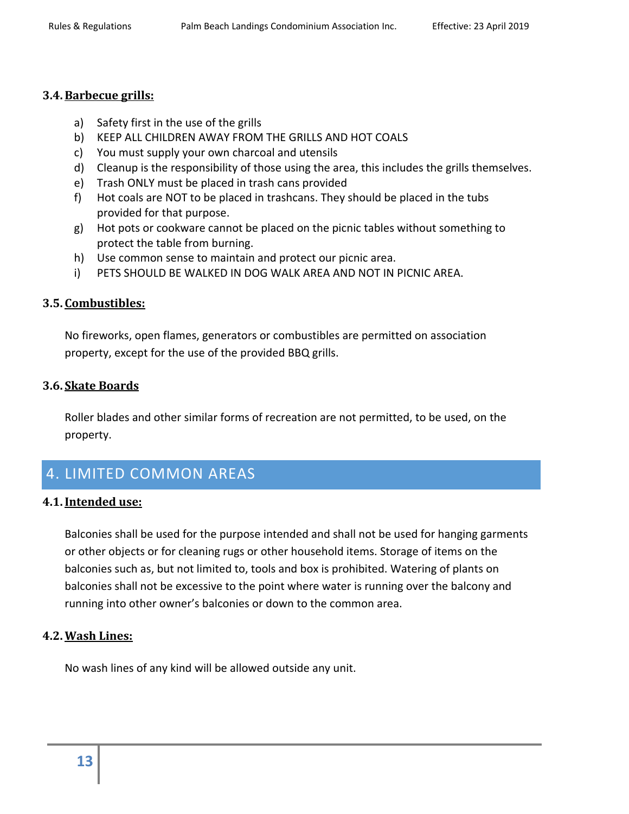#### **3.4.Barbecue grills:**

- a) Safety first in the use of the grills
- b) KEEP ALL CHILDREN AWAY FROM THE GRILLS AND HOT COALS
- c) You must supply your own charcoal and utensils
- d) Cleanup is the responsibility of those using the area, this includes the grills themselves.
- e) Trash ONLY must be placed in trash cans provided
- f) Hot coals are NOT to be placed in trashcans. They should be placed in the tubs provided for that purpose.
- g) Hot pots or cookware cannot be placed on the picnic tables without something to protect the table from burning.
- h) Use common sense to maintain and protect our picnic area.
- i) PETS SHOULD BE WALKED IN DOG WALK AREA AND NOT IN PICNIC AREA.

# <span id="page-12-0"></span>**3.5. Combustibles:**

No fireworks, open flames, generators or combustibles are permitted on association property, except for the use of the provided BBQ grills.

#### <span id="page-12-1"></span>**3.6. Skate Boards**

Roller blades and other similar forms of recreation are not permitted, to be used, on the property.

# <span id="page-12-2"></span>4. LIMITED COMMON AREAS

#### <span id="page-12-3"></span>**4.1.Intended use:**

Balconies shall be used for the purpose intended and shall not be used for hanging garments or other objects or for cleaning rugs or other household items. Storage of items on the balconies such as, but not limited to, tools and box is prohibited. Watering of plants on balconies shall not be excessive to the point where water is running over the balcony and running into other owner's balconies or down to the common area.

# <span id="page-12-4"></span>**4.2.Wash Lines:**

<span id="page-12-5"></span>No wash lines of any kind will be allowed outside any unit.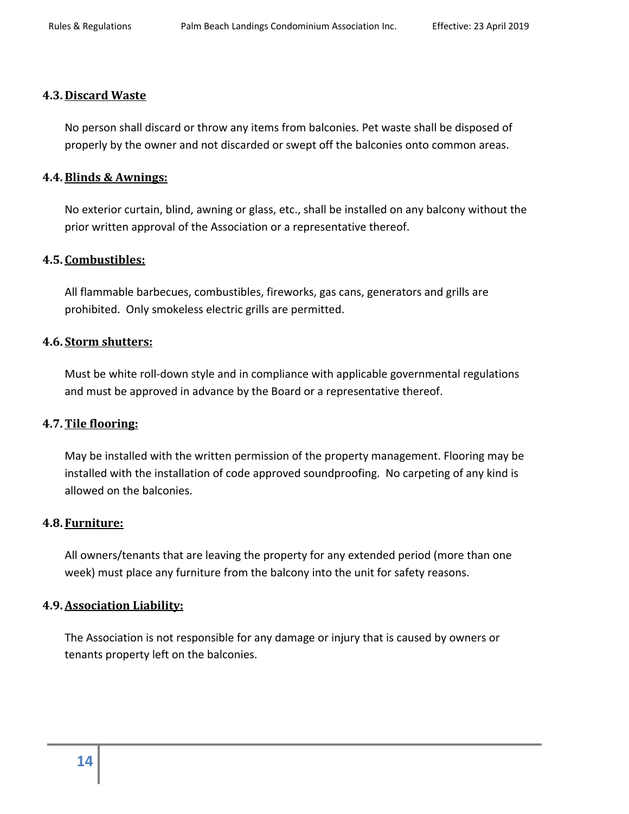#### **4.3. Discard Waste**

No person shall discard or throw any items from balconies. Pet waste shall be disposed of properly by the owner and not discarded or swept off the balconies onto common areas.

#### <span id="page-13-0"></span>**4.4.Blinds & Awnings:**

No exterior curtain, blind, awning or glass, etc., shall be installed on any balcony without the prior written approval of the Association or a representative thereof.

#### <span id="page-13-1"></span>**4.5. Combustibles:**

All flammable barbecues, combustibles, fireworks, gas cans, generators and grills are prohibited. Only smokeless electric grills are permitted.

#### <span id="page-13-2"></span>**4.6. Storm shutters:**

Must be white roll-down style and in compliance with applicable governmental regulations and must be approved in advance by the Board or a representative thereof.

#### <span id="page-13-3"></span>**4.7.Tile flooring:**

May be installed with the written permission of the property management. Flooring may be installed with the installation of code approved soundproofing. No carpeting of any kind is allowed on the balconies.

#### <span id="page-13-4"></span>**4.8. Furniture:**

All owners/tenants that are leaving the property for any extended period (more than one week) must place any furniture from the balcony into the unit for safety reasons.

#### <span id="page-13-5"></span>**4.9.Association Liability:**

The Association is not responsible for any damage or injury that is caused by owners or tenants property left on the balconies.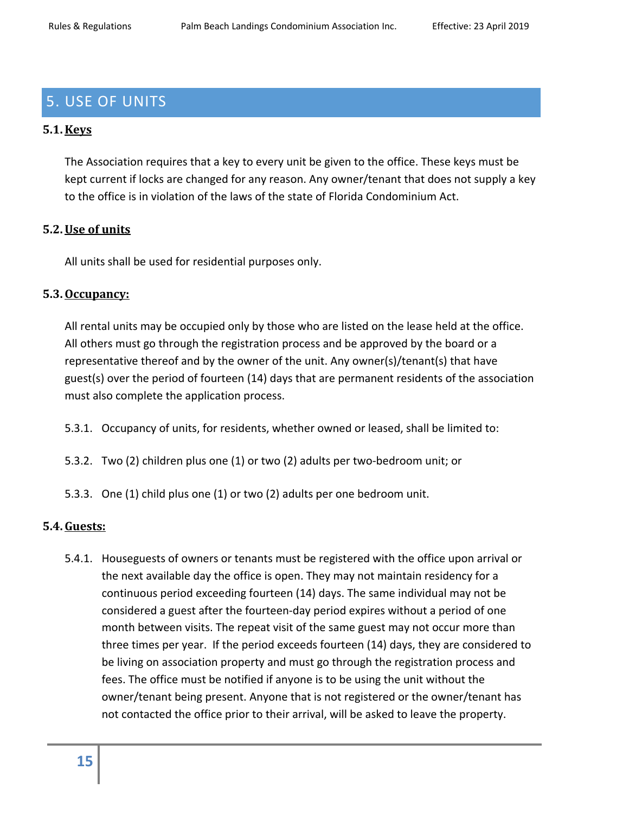# <span id="page-14-0"></span>5. USE OF UNITS

# <span id="page-14-1"></span>**5.1.Keys**

The Association requires that a key to every unit be given to the office. These keys must be kept current if locks are changed for any reason. Any owner/tenant that does not supply a key to the office is in violation of the laws of the state of Florida Condominium Act.

# <span id="page-14-2"></span>**5.2.Use of units**

All units shall be used for residential purposes only.

#### <span id="page-14-3"></span>**5.3.Occupancy:**

All rental units may be occupied only by those who are listed on the lease held at the office. All others must go through the registration process and be approved by the board or a representative thereof and by the owner of the unit. Any owner(s)/tenant(s) that have guest(s) over the period of fourteen (14) days that are permanent residents of the association must also complete the application process.

- 5.3.1. Occupancy of units, for residents, whether owned or leased, shall be limited to:
- 5.3.2. Two (2) children plus one (1) or two (2) adults per two-bedroom unit; or
- 5.3.3. One (1) child plus one (1) or two (2) adults per one bedroom unit.

#### <span id="page-14-4"></span>**5.4.Guests:**

5.4.1. Houseguests of owners or tenants must be registered with the office upon arrival or the next available day the office is open. They may not maintain residency for a continuous period exceeding fourteen (14) days. The same individual may not be considered a guest after the fourteen-day period expires without a period of one month between visits. The repeat visit of the same guest may not occur more than three times per year. If the period exceeds fourteen (14) days, they are considered to be living on association property and must go through the registration process and fees. The office must be notified if anyone is to be using the unit without the owner/tenant being present. Anyone that is not registered or the owner/tenant has not contacted the office prior to their arrival, will be asked to leave the property.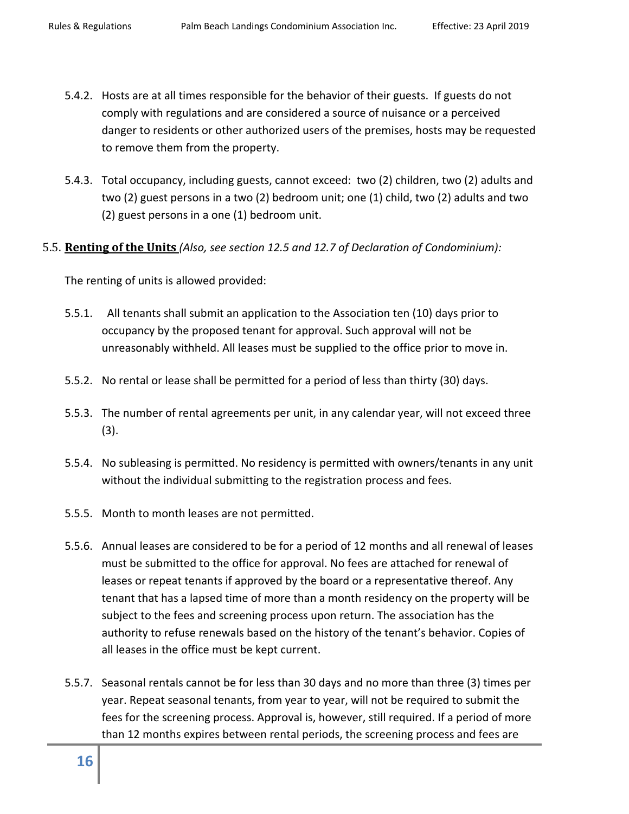- 5.4.2. Hosts are at all times responsible for the behavior of their guests. If guests do not comply with regulations and are considered a source of nuisance or a perceived danger to residents or other authorized users of the premises, hosts may be requested to remove them from the property.
- 5.4.3. Total occupancy, including guests, cannot exceed: two (2) children, two (2) adults and two (2) guest persons in a two (2) bedroom unit; one (1) child, two (2) adults and two (2) guest persons in a one (1) bedroom unit.
- <span id="page-15-0"></span>5.5. **Renting of the Units** *(Also, see section 12.5 and 12.7 of Declaration of Condominium):*

The renting of units is allowed provided:

- 5.5.1. All tenants shall submit an application to the Association ten (10) days prior to occupancy by the proposed tenant for approval. Such approval will not be unreasonably withheld. All leases must be supplied to the office prior to move in.
- 5.5.2. No rental or lease shall be permitted for a period of less than thirty (30) days.
- 5.5.3. The number of rental agreements per unit, in any calendar year, will not exceed three (3).
- 5.5.4. No subleasing is permitted. No residency is permitted with owners/tenants in any unit without the individual submitting to the registration process and fees.
- 5.5.5. Month to month leases are not permitted.
- 5.5.6. Annual leases are considered to be for a period of 12 months and all renewal of leases must be submitted to the office for approval. No fees are attached for renewal of leases or repeat tenants if approved by the board or a representative thereof. Any tenant that has a lapsed time of more than a month residency on the property will be subject to the fees and screening process upon return. The association has the authority to refuse renewals based on the history of the tenant's behavior. Copies of all leases in the office must be kept current.
- 5.5.7. Seasonal rentals cannot be for less than 30 days and no more than three (3) times per year. Repeat seasonal tenants, from year to year, will not be required to submit the fees for the screening process. Approval is, however, still required. If a period of more than 12 months expires between rental periods, the screening process and fees are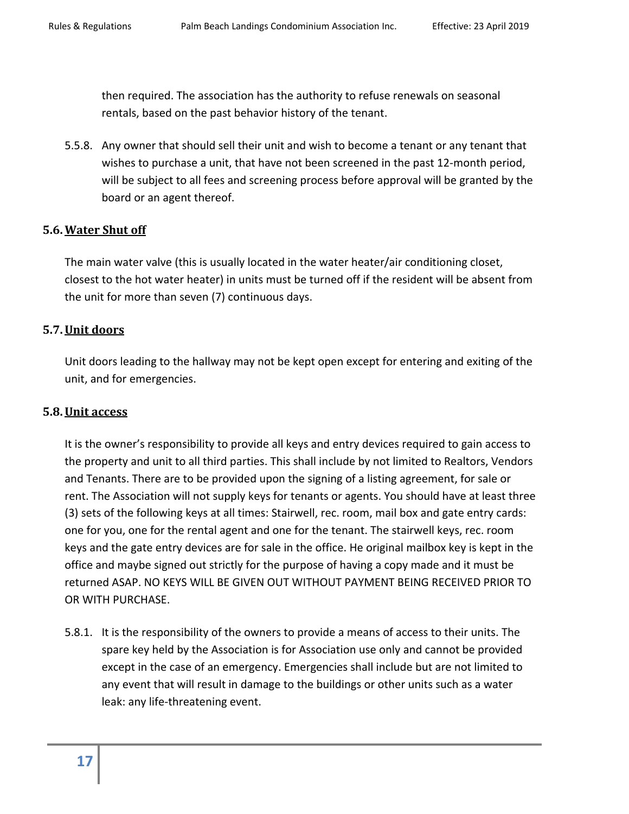then required. The association has the authority to refuse renewals on seasonal rentals, based on the past behavior history of the tenant.

5.5.8. Any owner that should sell their unit and wish to become a tenant or any tenant that wishes to purchase a unit, that have not been screened in the past 12-month period, will be subject to all fees and screening process before approval will be granted by the board or an agent thereof.

#### <span id="page-16-0"></span>**5.6.Water Shut off**

The main water valve (this is usually located in the water heater/air conditioning closet, closest to the hot water heater) in units must be turned off if the resident will be absent from the unit for more than seven (7) continuous days.

#### <span id="page-16-1"></span>**5.7.Unit doors**

Unit doors leading to the hallway may not be kept open except for entering and exiting of the unit, and for emergencies.

#### <span id="page-16-2"></span>**5.8.Unit access**

It is the owner's responsibility to provide all keys and entry devices required to gain access to the property and unit to all third parties. This shall include by not limited to Realtors, Vendors and Tenants. There are to be provided upon the signing of a listing agreement, for sale or rent. The Association will not supply keys for tenants or agents. You should have at least three (3) sets of the following keys at all times: Stairwell, rec. room, mail box and gate entry cards: one for you, one for the rental agent and one for the tenant. The stairwell keys, rec. room keys and the gate entry devices are for sale in the office. He original mailbox key is kept in the office and maybe signed out strictly for the purpose of having a copy made and it must be returned ASAP. NO KEYS WILL BE GIVEN OUT WITHOUT PAYMENT BEING RECEIVED PRIOR TO OR WITH PURCHASE.

5.8.1. It is the responsibility of the owners to provide a means of access to their units. The spare key held by the Association is for Association use only and cannot be provided except in the case of an emergency. Emergencies shall include but are not limited to any event that will result in damage to the buildings or other units such as a water leak: any life-threatening event.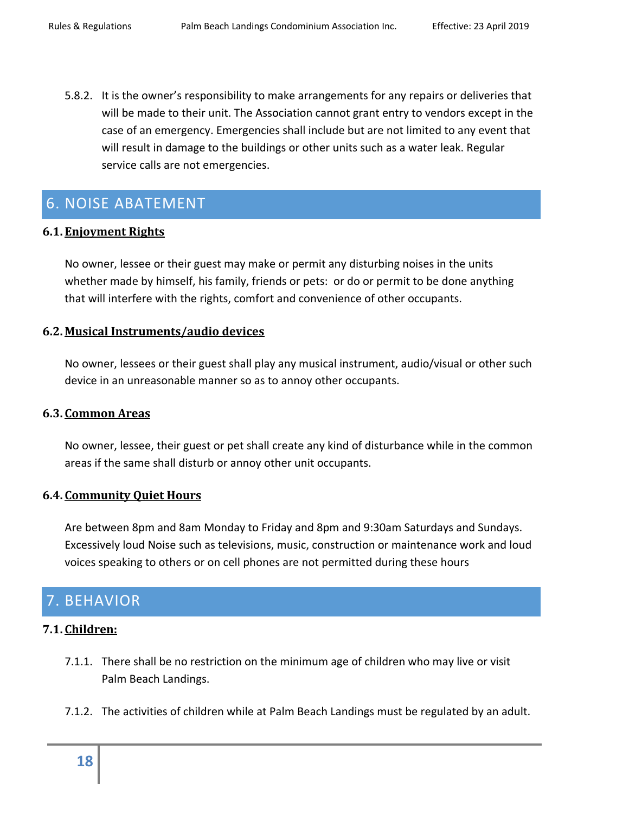5.8.2. It is the owner's responsibility to make arrangements for any repairs or deliveries that will be made to their unit. The Association cannot grant entry to vendors except in the case of an emergency. Emergencies shall include but are not limited to any event that will result in damage to the buildings or other units such as a water leak. Regular service calls are not emergencies.

# <span id="page-17-0"></span>6. NOISE ABATEMENT

# <span id="page-17-1"></span>**6.1. Enjoyment Rights**

No owner, lessee or their guest may make or permit any disturbing noises in the units whether made by himself, his family, friends or pets: or do or permit to be done anything that will interfere with the rights, comfort and convenience of other occupants.

# <span id="page-17-2"></span>**6.2. Musical Instruments/audio devices**

No owner, lessees or their guest shall play any musical instrument, audio/visual or other such device in an unreasonable manner so as to annoy other occupants.

#### <span id="page-17-3"></span>**6.3. Common Areas**

No owner, lessee, their guest or pet shall create any kind of disturbance while in the common areas if the same shall disturb or annoy other unit occupants.

#### <span id="page-17-4"></span>**6.4. Community Quiet Hours**

Are between 8pm and 8am Monday to Friday and 8pm and 9:30am Saturdays and Sundays. Excessively loud Noise such as televisions, music, construction or maintenance work and loud voices speaking to others or on cell phones are not permitted during these hours

# <span id="page-17-5"></span>7. BEHAVIOR

#### <span id="page-17-6"></span>**7.1. Children:**

- 7.1.1. There shall be no restriction on the minimum age of children who may live or visit Palm Beach Landings.
- 7.1.2. The activities of children while at Palm Beach Landings must be regulated by an adult.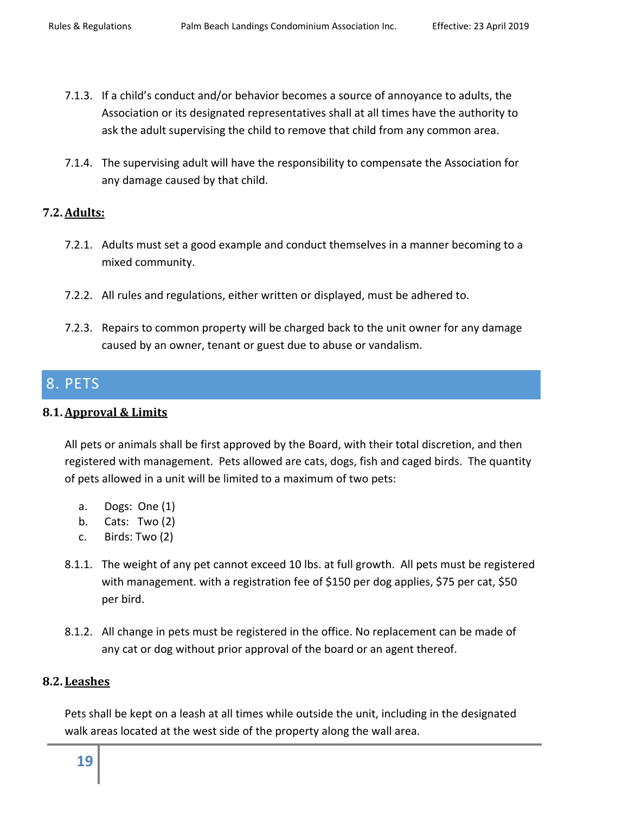- 7.1.3. If a child's conduct and/or behavior becomes a source of annoyance to adults, the Association or its designated representatives shall at all times have the authority to ask the adult supervising the child to remove that child from any common area.
- 7.1.4. The supervising adult will have the responsibility to compensate the Association for any damage caused by that child.

#### <span id="page-18-0"></span>**7.2.Adults:**

- 7.2.1. Adults must set a good example and conduct themselves in a manner becoming to a mixed community.
- 7.2.2. All rules and regulations, either written or displayed, must be adhered to.
- 7.2.3. Repairs to common property will be charged back to the unit owner for any damage caused by an owner, tenant or guest due to abuse or vandalism.

# <span id="page-18-1"></span>8. PETS

#### <span id="page-18-2"></span>**8.1.Approval & Limits**

All pets or animals shall be first approved by the Board, with their total discretion, and then registered with management. Pets allowed are cats, dogs, fish and caged birds. The quantity of pets allowed in a unit will be limited to a maximum of two pets:

- a. Dogs: One (1)
- b. Cats: Two (2)
- c. Birds: Two (2)
- 8.1.1. The weight of any pet cannot exceed 10 lbs. at full growth. All pets must be registered with management. with a registration fee of \$150 per dog applies, \$75 per cat, \$50 per bird.
- 8.1.2. All change in pets must be registered in the office. No replacement can be made of any cat or dog without prior approval of the board or an agent thereof.

#### <span id="page-18-3"></span>**8.2. Leashes**

Pets shall be kept on a leash at all times while outside the unit, including in the designated walk areas located at the west side of the property along the wall area.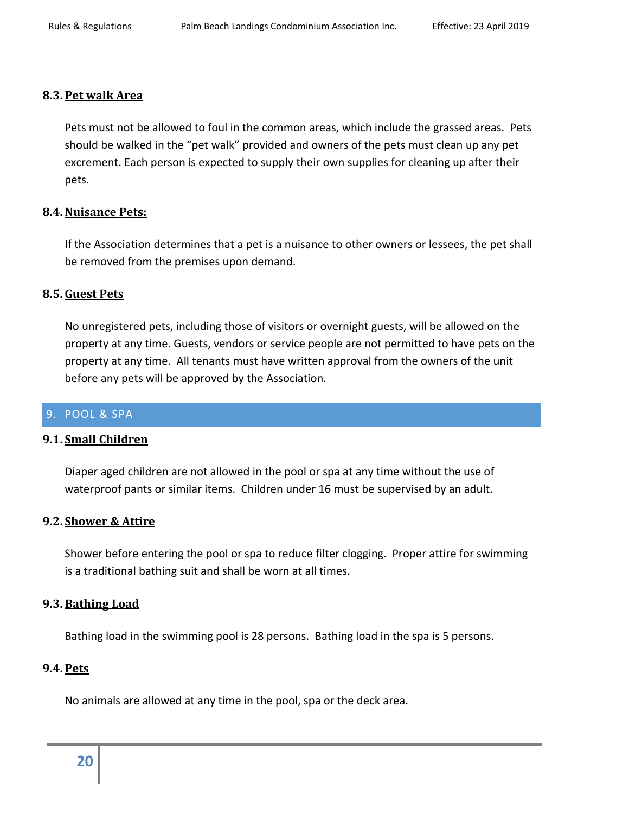#### <span id="page-19-0"></span>**8.3.Pet walk Area**

Pets must not be allowed to foul in the common areas, which include the grassed areas. Pets should be walked in the "pet walk" provided and owners of the pets must clean up any pet excrement. Each person is expected to supply their own supplies for cleaning up after their pets.

#### <span id="page-19-1"></span>**8.4.Nuisance Pets:**

If the Association determines that a pet is a nuisance to other owners or lessees, the pet shall be removed from the premises upon demand.

#### <span id="page-19-2"></span>**8.5.Guest Pets**

No unregistered pets, including those of visitors or overnight guests, will be allowed on the property at any time. Guests, vendors or service people are not permitted to have pets on the property at any time. All tenants must have written approval from the owners of the unit before any pets will be approved by the Association.

#### <span id="page-19-3"></span>9. POOL & SPA

#### <span id="page-19-4"></span>**9.1. Small Children**

Diaper aged children are not allowed in the pool or spa at any time without the use of waterproof pants or similar items. Children under 16 must be supervised by an adult.

#### <span id="page-19-5"></span>**9.2. Shower & Attire**

Shower before entering the pool or spa to reduce filter clogging. Proper attire for swimming is a traditional bathing suit and shall be worn at all times.

#### <span id="page-19-6"></span>**9.3.Bathing Load**

Bathing load in the swimming pool is 28 persons. Bathing load in the spa is 5 persons.

#### <span id="page-19-7"></span>**9.4.Pets**

<span id="page-19-8"></span>No animals are allowed at any time in the pool, spa or the deck area.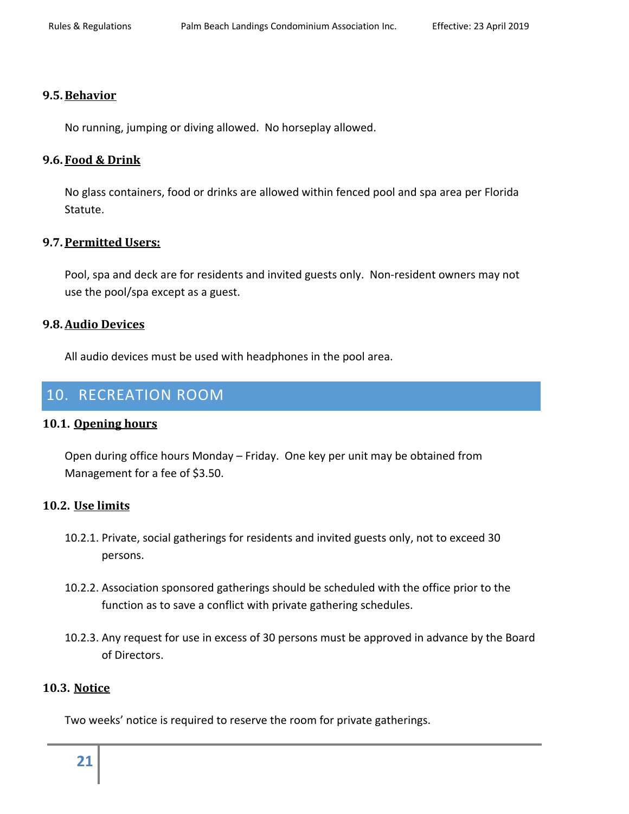#### **9.5.Behavior**

No running, jumping or diving allowed. No horseplay allowed.

### <span id="page-20-0"></span>**9.6. Food & Drink**

No glass containers, food or drinks are allowed within fenced pool and spa area per Florida Statute.

# <span id="page-20-1"></span>**9.7.Permitted Users:**

Pool, spa and deck are for residents and invited guests only. Non-resident owners may not use the pool/spa except as a guest.

#### <span id="page-20-2"></span>**9.8.Audio Devices**

All audio devices must be used with headphones in the pool area.

# <span id="page-20-3"></span>10. RECREATION ROOM

#### <span id="page-20-4"></span>**10.1. Opening hours**

Open during office hours Monday – Friday. One key per unit may be obtained from Management for a fee of \$3.50.

#### <span id="page-20-5"></span>**10.2. Use limits**

- 10.2.1. Private, social gatherings for residents and invited guests only, not to exceed 30 persons.
- 10.2.2. Association sponsored gatherings should be scheduled with the office prior to the function as to save a conflict with private gathering schedules.
- 10.2.3. Any request for use in excess of 30 persons must be approved in advance by the Board of Directors.

#### <span id="page-20-6"></span>**10.3. Notice**

Two weeks' notice is required to reserve the room for private gatherings.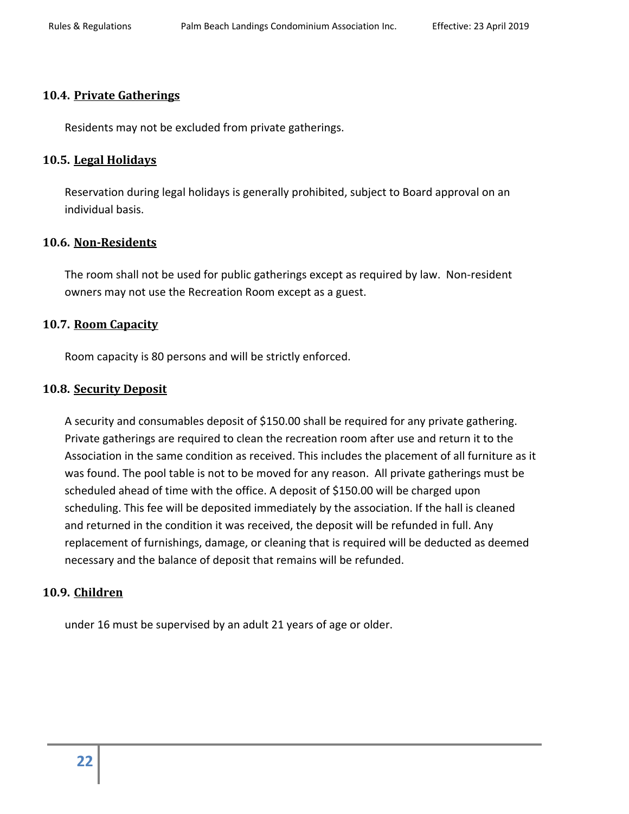### <span id="page-21-0"></span>**10.4. Private Gatherings**

Residents may not be excluded from private gatherings.

#### <span id="page-21-1"></span>**10.5. Legal Holidays**

Reservation during legal holidays is generally prohibited, subject to Board approval on an individual basis.

#### <span id="page-21-2"></span>**10.6. Non-Residents**

The room shall not be used for public gatherings except as required by law. Non-resident owners may not use the Recreation Room except as a guest.

#### <span id="page-21-3"></span>**10.7. Room Capacity**

Room capacity is 80 persons and will be strictly enforced.

#### <span id="page-21-4"></span>**10.8. Security Deposit**

A security and consumables deposit of \$150.00 shall be required for any private gathering. Private gatherings are required to clean the recreation room after use and return it to the Association in the same condition as received. This includes the placement of all furniture as it was found. The pool table is not to be moved for any reason. All private gatherings must be scheduled ahead of time with the office. A deposit of \$150.00 will be charged upon scheduling. This fee will be deposited immediately by the association. If the hall is cleaned and returned in the condition it was received, the deposit will be refunded in full. Any replacement of furnishings, damage, or cleaning that is required will be deducted as deemed necessary and the balance of deposit that remains will be refunded.

#### <span id="page-21-5"></span>**10.9. Children**

under 16 must be supervised by an adult 21 years of age or older.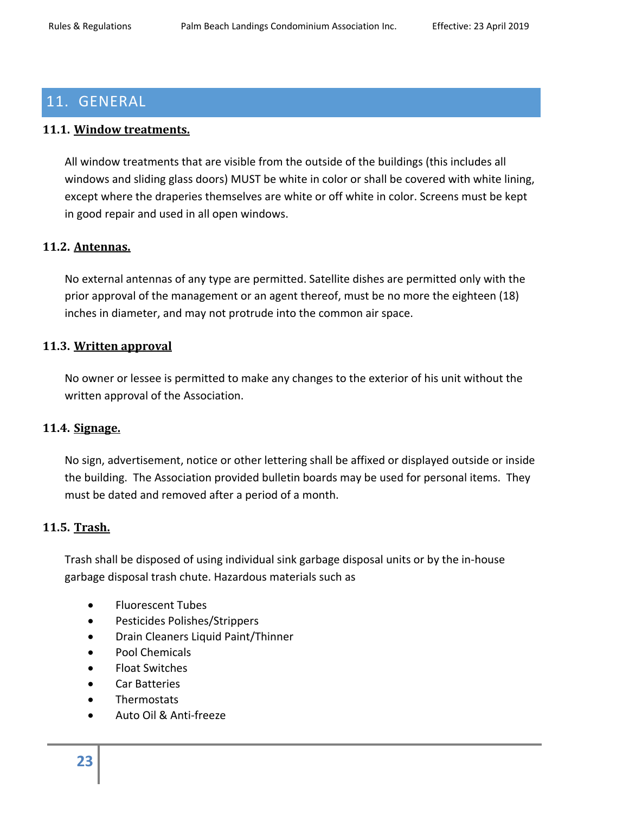# <span id="page-22-0"></span>11. GENERAL

# <span id="page-22-1"></span>**11.1. Window treatments.**

All window treatments that are visible from the outside of the buildings (this includes all windows and sliding glass doors) MUST be white in color or shall be covered with white lining, except where the draperies themselves are white or off white in color. Screens must be kept in good repair and used in all open windows.

# <span id="page-22-2"></span>**11.2. Antennas.**

No external antennas of any type are permitted. Satellite dishes are permitted only with the prior approval of the management or an agent thereof, must be no more the eighteen (18) inches in diameter, and may not protrude into the common air space.

#### <span id="page-22-3"></span>**11.3. Written approval**

No owner or lessee is permitted to make any changes to the exterior of his unit without the written approval of the Association.

#### <span id="page-22-4"></span>**11.4. Signage.**

No sign, advertisement, notice or other lettering shall be affixed or displayed outside or inside the building. The Association provided bulletin boards may be used for personal items. They must be dated and removed after a period of a month.

# <span id="page-22-5"></span>**11.5. Trash.**

Trash shall be disposed of using individual sink garbage disposal units or by the in-house garbage disposal trash chute. Hazardous materials such as

- Fluorescent Tubes
- Pesticides Polishes/Strippers
- Drain Cleaners Liquid Paint/Thinner
- Pool Chemicals
- Float Switches
- Car Batteries
- Thermostats
- Auto Oil & Anti-freeze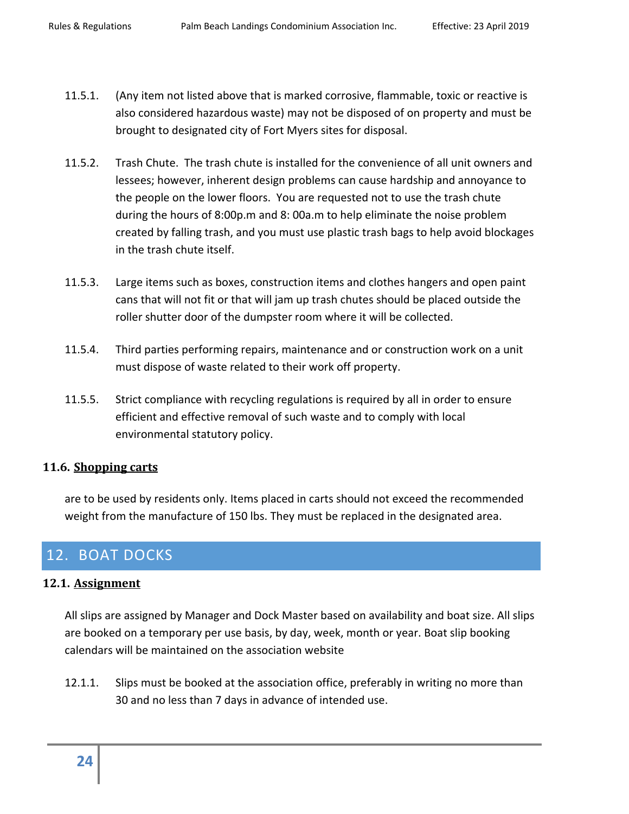- 11.5.1. (Any item not listed above that is marked corrosive, flammable, toxic or reactive is also considered hazardous waste) may not be disposed of on property and must be brought to designated city of Fort Myers sites for disposal.
- 11.5.2. Trash Chute. The trash chute is installed for the convenience of all unit owners and lessees; however, inherent design problems can cause hardship and annoyance to the people on the lower floors. You are requested not to use the trash chute during the hours of 8:00p.m and 8: 00a.m to help eliminate the noise problem created by falling trash, and you must use plastic trash bags to help avoid blockages in the trash chute itself.
- 11.5.3. Large items such as boxes, construction items and clothes hangers and open paint cans that will not fit or that will jam up trash chutes should be placed outside the roller shutter door of the dumpster room where it will be collected.
- 11.5.4. Third parties performing repairs, maintenance and or construction work on a unit must dispose of waste related to their work off property.
- 11.5.5. Strict compliance with recycling regulations is required by all in order to ensure efficient and effective removal of such waste and to comply with local environmental statutory policy.

#### <span id="page-23-0"></span>**11.6. Shopping carts**

are to be used by residents only. Items placed in carts should not exceed the recommended weight from the manufacture of 150 lbs. They must be replaced in the designated area.

# <span id="page-23-1"></span>12. BOAT DOCKS

#### <span id="page-23-2"></span>**12.1. Assignment**

All slips are assigned by Manager and Dock Master based on availability and boat size. All slips are booked on a temporary per use basis, by day, week, month or year. Boat slip booking calendars will be maintained on the association website

12.1.1. Slips must be booked at the association office, preferably in writing no more than 30 and no less than 7 days in advance of intended use.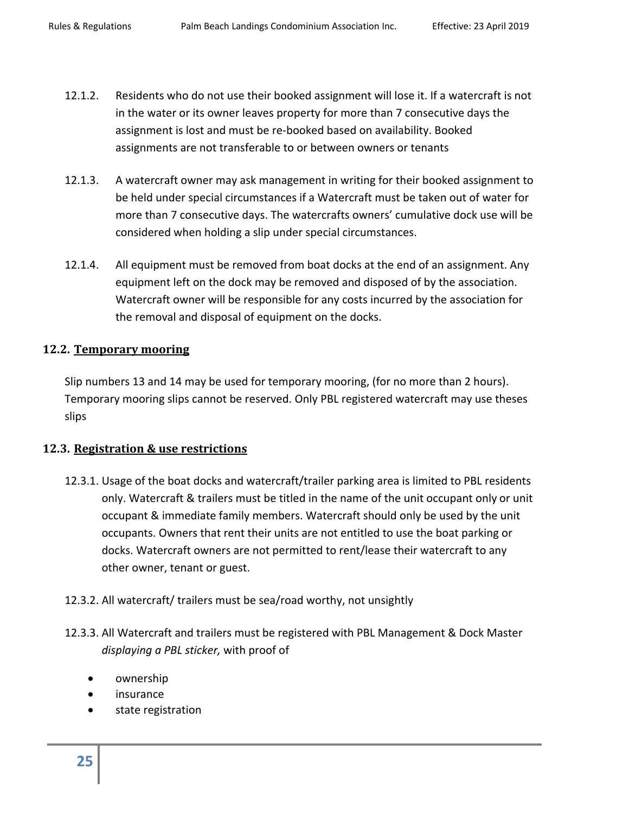- 12.1.2. Residents who do not use their booked assignment will lose it. If a watercraft is not in the water or its owner leaves property for more than 7 consecutive days the assignment is lost and must be re-booked based on availability. Booked assignments are not transferable to or between owners or tenants
- 12.1.3. A watercraft owner may ask management in writing for their booked assignment to be held under special circumstances if a Watercraft must be taken out of water for more than 7 consecutive days. The watercrafts owners' cumulative dock use will be considered when holding a slip under special circumstances.
- 12.1.4. All equipment must be removed from boat docks at the end of an assignment. Any equipment left on the dock may be removed and disposed of by the association. Watercraft owner will be responsible for any costs incurred by the association for the removal and disposal of equipment on the docks.

#### <span id="page-24-0"></span>**12.2. Temporary mooring**

Slip numbers 13 and 14 may be used for temporary mooring, (for no more than 2 hours). Temporary mooring slips cannot be reserved. Only PBL registered watercraft may use theses slips

# <span id="page-24-1"></span>**12.3. Registration & use restrictions**

- 12.3.1. Usage of the boat docks and watercraft/trailer parking area is limited to PBL residents only. Watercraft & trailers must be titled in the name of the unit occupant only or unit occupant & immediate family members. Watercraft should only be used by the unit occupants. Owners that rent their units are not entitled to use the boat parking or docks. Watercraft owners are not permitted to rent/lease their watercraft to any other owner, tenant or guest.
- 12.3.2. All watercraft/ trailers must be sea/road worthy, not unsightly
- 12.3.3. All Watercraft and trailers must be registered with PBL Management & Dock Master *displaying a PBL sticker,* with proof of
	- ownership
	- insurance
	- state registration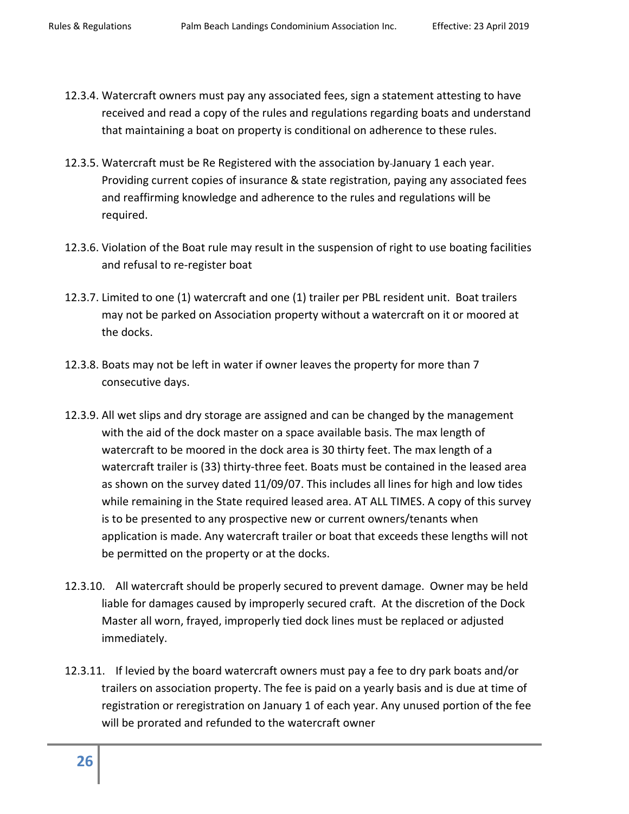- 12.3.4. Watercraft owners must pay any associated fees, sign a statement attesting to have received and read a copy of the rules and regulations regarding boats and understand that maintaining a boat on property is conditional on adherence to these rules.
- 12.3.5. Watercraft must be Re Registered with the association by January 1 each year. Providing current copies of insurance & state registration, paying any associated fees and reaffirming knowledge and adherence to the rules and regulations will be required.
- 12.3.6. Violation of the Boat rule may result in the suspension of right to use boating facilities and refusal to re-register boat
- 12.3.7. Limited to one (1) watercraft and one (1) trailer per PBL resident unit. Boat trailers may not be parked on Association property without a watercraft on it or moored at the docks.
- 12.3.8. Boats may not be left in water if owner leaves the property for more than 7 consecutive days.
- 12.3.9. All wet slips and dry storage are assigned and can be changed by the management with the aid of the dock master on a space available basis. The max length of watercraft to be moored in the dock area is 30 thirty feet. The max length of a watercraft trailer is (33) thirty-three feet. Boats must be contained in the leased area as shown on the survey dated 11/09/07. This includes all lines for high and low tides while remaining in the State required leased area. AT ALL TIMES. A copy of this survey is to be presented to any prospective new or current owners/tenants when application is made. Any watercraft trailer or boat that exceeds these lengths will not be permitted on the property or at the docks.
- 12.3.10. All watercraft should be properly secured to prevent damage. Owner may be held liable for damages caused by improperly secured craft. At the discretion of the Dock Master all worn, frayed, improperly tied dock lines must be replaced or adjusted immediately.
- 12.3.11. If levied by the board watercraft owners must pay a fee to dry park boats and/or trailers on association property. The fee is paid on a yearly basis and is due at time of registration or reregistration on January 1 of each year. Any unused portion of the fee will be prorated and refunded to the watercraft owner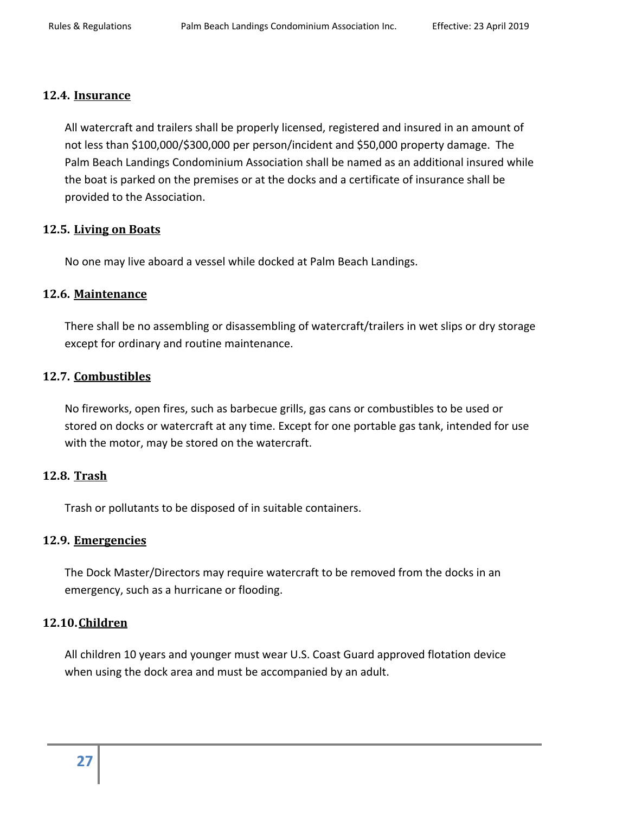#### <span id="page-26-0"></span>**12.4. Insurance**

All watercraft and trailers shall be properly licensed, registered and insured in an amount of not less than \$100,000/\$300,000 per person/incident and \$50,000 property damage. The Palm Beach Landings Condominium Association shall be named as an additional insured while the boat is parked on the premises or at the docks and a certificate of insurance shall be provided to the Association.

#### <span id="page-26-1"></span>**12.5. Living on Boats**

No one may live aboard a vessel while docked at Palm Beach Landings.

# <span id="page-26-2"></span>**12.6. Maintenance**

There shall be no assembling or disassembling of watercraft/trailers in wet slips or dry storage except for ordinary and routine maintenance.

# <span id="page-26-3"></span>**12.7. Combustibles**

No fireworks, open fires, such as barbecue grills, gas cans or combustibles to be used or stored on docks or watercraft at any time. Except for one portable gas tank, intended for use with the motor, may be stored on the watercraft.

#### <span id="page-26-4"></span>**12.8. Trash**

Trash or pollutants to be disposed of in suitable containers.

#### <span id="page-26-5"></span>**12.9. Emergencies**

The Dock Master/Directors may require watercraft to be removed from the docks in an emergency, such as a hurricane or flooding.

#### <span id="page-26-6"></span>**12.10.Children**

<span id="page-26-7"></span>All children 10 years and younger must wear U.S. Coast Guard approved flotation device when using the dock area and must be accompanied by an adult.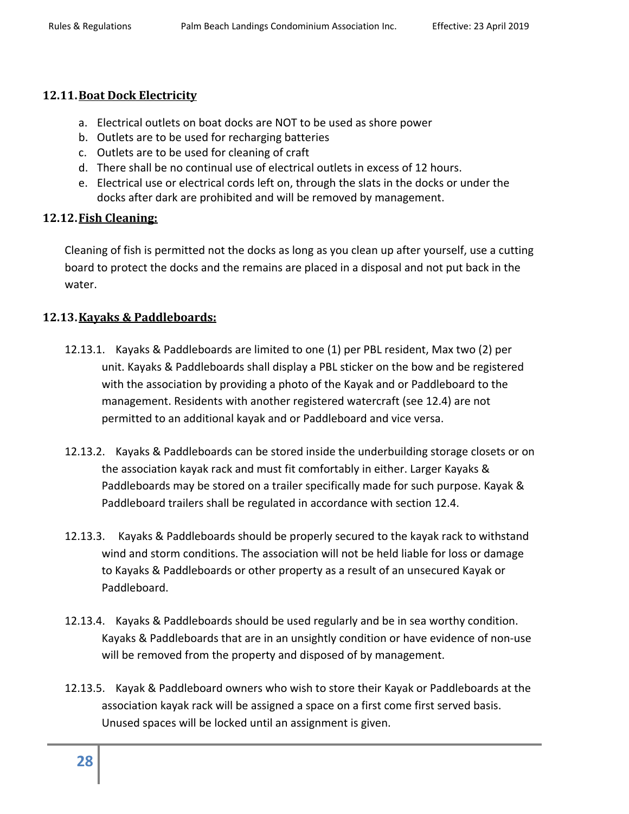#### **12.11.Boat Dock Electricity**

- a. Electrical outlets on boat docks are NOT to be used as shore power
- b. Outlets are to be used for recharging batteries
- c. Outlets are to be used for cleaning of craft
- d. There shall be no continual use of electrical outlets in excess of 12 hours.
- e. Electrical use or electrical cords left on, through the slats in the docks or under the docks after dark are prohibited and will be removed by management.

# <span id="page-27-0"></span>**12.12.Fish Cleaning:**

Cleaning of fish is permitted not the docks as long as you clean up after yourself, use a cutting board to protect the docks and the remains are placed in a disposal and not put back in the water.

# <span id="page-27-1"></span>**12.13.Kayaks & Paddleboards:**

- 12.13.1. Kayaks & Paddleboards are limited to one (1) per PBL resident, Max two (2) per unit. Kayaks & Paddleboards shall display a PBL sticker on the bow and be registered with the association by providing a photo of the Kayak and or Paddleboard to the management. Residents with another registered watercraft (see 12.4) are not permitted to an additional kayak and or Paddleboard and vice versa.
- 12.13.2. Kayaks & Paddleboards can be stored inside the underbuilding storage closets or on the association kayak rack and must fit comfortably in either. Larger Kayaks & Paddleboards may be stored on a trailer specifically made for such purpose. Kayak & Paddleboard trailers shall be regulated in accordance with section 12.4.
- 12.13.3. Kayaks & Paddleboards should be properly secured to the kayak rack to withstand wind and storm conditions. The association will not be held liable for loss or damage to Kayaks & Paddleboards or other property as a result of an unsecured Kayak or Paddleboard.
- 12.13.4. Kayaks & Paddleboards should be used regularly and be in sea worthy condition. Kayaks & Paddleboards that are in an unsightly condition or have evidence of non-use will be removed from the property and disposed of by management.
- 12.13.5. Kayak & Paddleboard owners who wish to store their Kayak or Paddleboards at the association kayak rack will be assigned a space on a first come first served basis. Unused spaces will be locked until an assignment is given.